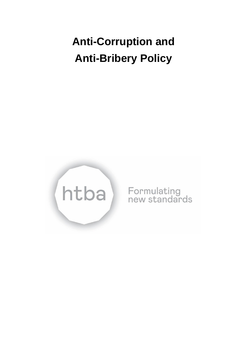# **Anti-Corruption and Anti-Bribery Policy**



Formulating<br>new standards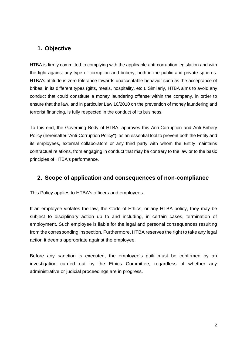# **1. Objective**

HTBA is firmly committed to complying with the applicable anti-corruption legislation and with the fight against any type of corruption and bribery, both in the public and private spheres. HTBA's attitude is zero tolerance towards unacceptable behavior such as the acceptance of bribes, in its different types (gifts, meals, hospitality, etc.). Similarly, HTBA aims to avoid any conduct that could constitute a money laundering offense within the company, in order to ensure that the law, and in particular Law 10/2010 on the prevention of money laundering and terrorist financing, is fully respected in the conduct of its business.

To this end, the Governing Body of HTBA, approves this Anti-Corruption and Anti-Bribery Policy (hereinafter "Anti-Corruption Policy"), as an essential tool to prevent both the Entity and its employees, external collaborators or any third party with whom the Entity maintains contractual relations, from engaging in conduct that may be contrary to the law or to the basic principles of HTBA's performance.

## **2. Scope of application and consequences of non-compliance**

This Policy applies to HTBA's officers and employees.

If an employee violates the law, the Code of Ethics, or any HTBA policy, they may be subject to disciplinary action up to and including, in certain cases, termination of employment. Such employee is liable for the legal and personal consequences resulting from the corresponding inspection. Furthermore, HTBA reserves the right to take any legal action it deems appropriate against the employee.

Before any sanction is executed, the employee's guilt must be confirmed by an investigation carried out by the Ethics Committee, regardless of whether any administrative or judicial proceedings are in progress.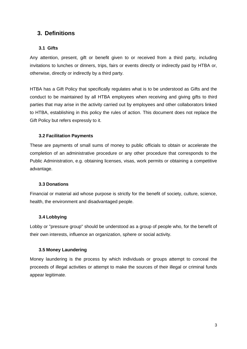## **3. Definitions**

### **3.1 Gifts**

Any attention, present, gift or benefit given to or received from a third party, including invitations to lunches or dinners, trips, fairs or events directly or indirectly paid by HTBA or, otherwise, directly or indirectly by a third party.

HTBA has a Gift Policy that specifically regulates what is to be understood as Gifts and the conduct to be maintained by all HTBA employees when receiving and giving gifts to third parties that may arise in the activity carried out by employees and other collaborators linked to HTBA, establishing in this policy the rules of action. This document does not replace the Gift Policy but refers expressly to it.

#### **3.2 Facilitation Payments**

These are payments of small sums of money to public officials to obtain or accelerate the completion of an administrative procedure or any other procedure that corresponds to the Public Administration, e.g. obtaining licenses, visas, work permits or obtaining a competitive advantage.

#### **3.3 Donations**

Financial or material aid whose purpose is strictly for the benefit of society, culture, science, health, the environment and disadvantaged people.

#### **3.4 Lobbying**

Lobby or "pressure group" should be understood as a group of people who, for the benefit of their own interests, influence an organization, sphere or social activity.

#### **3.5 Money Laundering**

Money laundering is the process by which individuals or groups attempt to conceal the proceeds of illegal activities or attempt to make the sources of their illegal or criminal funds appear legitimate.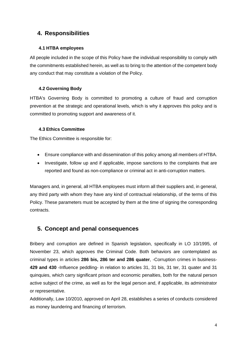# **4. Responsibilities**

## **4.1 HTBA employees**

All people included in the scope of this Policy have the individual responsibility to comply with the commitments established herein, as well as to bring to the attention of the competent body any conduct that may constitute a violation of the Policy.

## **4.2 Governing Body**

HTBA's Governing Body is committed to promoting a culture of fraud and corruption prevention at the strategic and operational levels, which is why it approves this policy and is committed to promoting support and awareness of it.

## **4.3 Ethics Committee**

The Ethics Committee is responsible for:

- Ensure compliance with and dissemination of this policy among all members of HTBA.
- Investigate, follow up and if applicable, impose sanctions to the complaints that are reported and found as non-compliance or criminal act in anti-corruption matters.

Managers and, in general, all HTBA employees must inform all their suppliers and, in general, any third party with whom they have any kind of contractual relationship, of the terms of this Policy. These parameters must be accepted by them at the time of signing the corresponding contracts.

## **5. Concept and penal consequences**

Bribery and corruption are defined in Spanish legislation, specifically in LO 10/1995, of November 23, which approves the Criminal Code. Both behaviors are contemplated as criminal types in articles **286 bis, 286 ter and 286 quater**, -Corruption crimes in business-**429 and 430** -Influence peddling- in relation to articles 31, 31 bis, 31 ter, 31 quater and 31 quinquies, which carry significant prison and economic penalties, both for the natural person active subject of the crime, as well as for the legal person and, if applicable, its administrator or representative.

Additionally, Law 10/2010, approved on April 28, establishes a series of conducts considered as money laundering and financing of terrorism.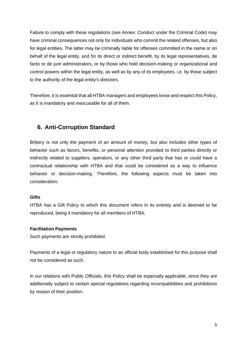Failure to comply with these regulations (see Annex: Conduct under the Criminal Code) may have criminal consequences not only for individuals who commit the related offenses, but also for legal entities. The latter may be criminally liable for offenses committed in the name or on behalf of the legal entity, and for its direct or indirect benefit, by its legal representatives, de facto or de jure administrators, or by those who hold decision-making or organizational and control powers within the legal entity, as well as by any of its employees, i.e. by those subject to the authority of the legal entity's directors.

Therefore, it is essential that all HTBA managers and employees know and respect this Policy, as it is mandatory and inexcusable for all of them.

# **6. Anti-Corruption Standard**

Bribery is not only the payment of an amount of money, but also includes other types of behavior such as favors, benefits, or personal attention provided to third parties directly or indirectly related to suppliers, operators, or any other third party that has or could have a contractual relationship with HTBA and that could be considered as a way to influence behavior or decision-making. Therefore, the following aspects must be taken into consideration:

## **Gifts**

HTBA has a Gift Policy to which this document refers in its entirety and is deemed to be reproduced, being it mandatory for all members of HTBA.

## **Facilitation Payments**

Such payments are strictly prohibited.

Payments of a legal or regulatory nature to an official body established for this purpose shall not be considered as such.

In our relations with Public Officials, this Policy shall be especially applicable, since they are additionally subject to certain special regulations regarding incompatibilities and prohibitions by reason of their position.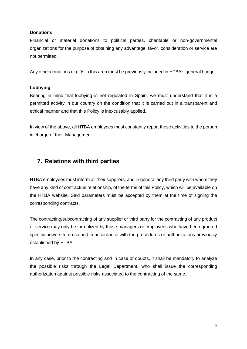#### **Donations**

Financial or material donations to political parties, charitable or non-governmental organizations for the purpose of obtaining any advantage, favor, consideration or service are not permitted.

Any other donations or gifts in this area must be previously included in HTBA's general budget.

### **Lobbying**

Bearing in mind that lobbying is not regulated in Spain, we must understand that it is a permitted activity in our country on the condition that it is carried out in a transparent and ethical manner and that this Policy is inexcusably applied.

In view of the above, all HTBA employees must constantly report these activities to the person in charge of their Management.

## **7. Relations with third parties**

HTBA employees must inform all their suppliers, and in general any third party with whom they have any kind of contractual relationship, of the terms of this Policy, which will be available on the HTBA website. Said parameters must be accepted by them at the time of signing the corresponding contracts.

The contracting/subcontracting of any supplier or third party for the contracting of any product or service may only be formalized by those managers or employees who have been granted specific powers to do so and in accordance with the procedures or authorizations previously established by HTBA.

In any case, prior to the contracting and in case of doubts, it shall be mandatory to analyze the possible risks through the Legal Department, who shall issue the corresponding authorization against possible risks associated to the contracting of the same.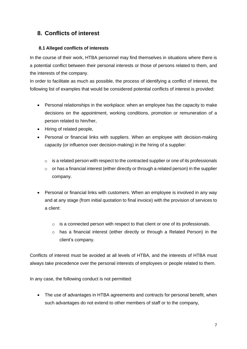# **8. Conflicts of interest**

## **8.1 Alleged conflicts of interests**

In the course of their work, HTBA personnel may find themselves in situations where there is a potential conflict between their personal interests or those of persons related to them, and the interests of the company.

In order to facilitate as much as possible, the process of identifying a conflict of interest, the following list of examples that would be considered potential conflicts of interest is provided:

- Personal relationships in the workplace: when an employee has the capacity to make decisions on the appointment, working conditions, promotion or remuneration of a person related to him/her,
- Hiring of related people,
- Personal or financial links with suppliers. When an employee with decision-making capacity (or influence over decision-making) in the hiring of a supplier:
	- o is a related person with respect to the contracted supplier or one of its professionals
	- $\circ$  or has a financial interest (either directly or through a related person) in the supplier company.
- Personal or financial links with customers. When an employee is involved in any way and at any stage (from initial quotation to final invoice) with the provision of services to a client:
	- o is a connected person with respect to that client or one of its professionals.
	- o has a financial interest (either directly or through a Related Person) in the client's company.

Conflicts of interest must be avoided at all levels of HTBA, and the interests of HTBA must always take precedence over the personal interests of employees or people related to them.

In any case, the following conduct is not permitted:

• The use of advantages in HTBA agreements and contracts for personal benefit, when such advantages do not extend to other members of staff or to the company,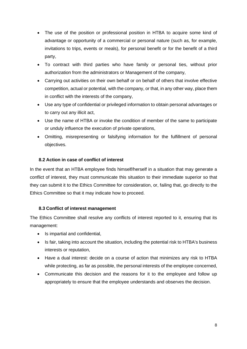- The use of the position or professional position in HTBA to acquire some kind of advantage or opportunity of a commercial or personal nature (such as, for example, invitations to trips, events or meals), for personal benefit or for the benefit of a third party,
- To contract with third parties who have family or personal ties, without prior authorization from the administrators or Management of the company,
- Carrying out activities on their own behalf or on behalf of others that involve effective competition, actual or potential, with the company, or that, in any other way, place them in conflict with the interests of the company,
- Use any type of confidential or privileged information to obtain personal advantages or to carry out any illicit act,
- Use the name of HTBA or invoke the condition of member of the same to participate or unduly influence the execution of private operations,
- Omitting, misrepresenting or falsifying information for the fulfillment of personal objectives.

## **8.2 Action in case of conflict of interest**

In the event that an HTBA employee finds himself/herself in a situation that may generate a conflict of interest, they must communicate this situation to their immediate superior so that they can submit it to the Ethics Committee for consideration, or, failing that, go directly to the Ethics Committee so that it may indicate how to proceed.

## **8.3 Conflict of interest management**

The Ethics Committee shall resolve any conflicts of interest reported to it, ensuring that its management:

- Is impartial and confidential,
- Is fair, taking into account the situation, including the potential risk to HTBA's business interests or reputation,
- Have a dual interest: decide on a course of action that minimizes any risk to HTBA while protecting, as far as possible, the personal interests of the employee concerned,
- Communicate this decision and the reasons for it to the employee and follow up appropriately to ensure that the employee understands and observes the decision.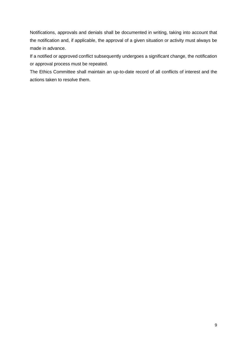Notifications, approvals and denials shall be documented in writing, taking into account that the notification and, if applicable, the approval of a given situation or activity must always be made in advance.

If a notified or approved conflict subsequently undergoes a significant change, the notification or approval process must be repeated.

The Ethics Committee shall maintain an up-to-date record of all conflicts of interest and the actions taken to resolve them.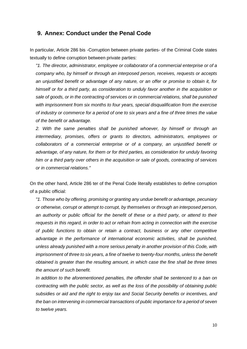## **9. Annex: Conduct under the Penal Code**

In particular, Article 286 bis -Corruption between private parties- of the Criminal Code states textually to define corruption between private parties:

*"1. The director, administrator, employee or collaborator of a commercial enterprise or of a company who, by himself or through an interposed person, receives, requests or accepts an unjustified benefit or advantage of any nature, or an offer or promise to obtain it, for himself or for a third party, as consideration to unduly favor another in the acquisition or sale of goods, or in the contracting of services or in commercial relations, shall be punished with imprisonment from six months to four years, special disqualification from the exercise of industry or commerce for a period of one to six years and a fine of three times the value of the benefit or advantage.*

*2. With the same penalties shall be punished whoever, by himself or through an intermediary, promises, offers or grants to directors, administrators, employees or collaborators of a commercial enterprise or of a company, an unjustified benefit or advantage, of any nature, for them or for third parties, as consideration for unduly favoring him or a third party over others in the acquisition or sale of goods, contracting of services or in commercial relations."*

On the other hand, Article 286 ter of the Penal Code literally establishes to define corruption of a public official:

*"1. Those who by offering, promising or granting any undue benefit or advantage, pecuniary or otherwise, corrupt or attempt to corrupt, by themselves or through an interposed person, an authority or public official for the benefit of these or a third party, or attend to their requests in this regard, in order to act or refrain from acting in connection with the exercise of public functions to obtain or retain a contract, business or any other competitive advantage in the performance of international economic activities, shall be punished, unless already punished with a more serious penalty in another provision of this Code, with imprisonment of three to six years, a fine of twelve to twenty-four months, unless the benefit obtained is greater than the resulting amount, in which case the fine shall be three times the amount of such benefit.*

*In addition to the aforementioned penalties, the offender shall be sentenced to a ban on contracting with the public sector, as well as the loss of the possibility of obtaining public subsidies or aid and the right to enjoy tax and Social Security benefits or incentives, and the ban on intervening in commercial transactions of public importance for a period of seven to twelve years.*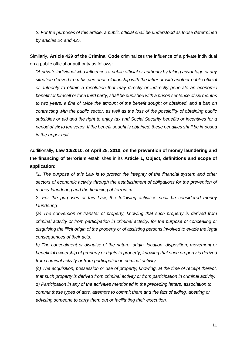*2. For the purposes of this article, a public official shall be understood as those determined by articles 24 and 427.*

Similarly**, Article 429 of the Criminal Code** criminalizes the influence of a private individual on a public official or authority as follows:

*"A private individual who influences a public official or authority by taking advantage of any situation derived from his personal relationship with the latter or with another public official or authority to obtain a resolution that may directly or indirectly generate an economic benefit for himself or for a third party, shall be punished with a prison sentence of six months to two years, a fine of twice the amount of the benefit sought or obtained, and a ban on contracting with the public sector, as well as the loss of the possibility of obtaining public subsidies or aid and the right to enjoy tax and Social Security benefits or incentives for a period of six to ten years. If the benefit sought is obtained, these penalties shall be imposed in the upper half".*

Additionally**, Law 10/2010, of April 28, 2010, on the prevention of money laundering and the financing of terrorism** establishes in its **Article 1, Object, definitions and scope of application:**

*"1. The purpose of this Law is to protect the integrity of the financial system and other sectors of economic activity through the establishment of obligations for the prevention of money laundering and the financing of terrorism.*

*2. For the purposes of this Law, the following activities shall be considered money laundering:*

*(a) The conversion or transfer of property, knowing that such property is derived from criminal activity or from participation in criminal activity, for the purpose of concealing or disguising the illicit origin of the property or of assisting persons involved to evade the legal consequences of their acts.*

*b) The concealment or disguise of the nature, origin, location, disposition, movement or beneficial ownership of property or rights to property, knowing that such property is derived from criminal activity or from participation in criminal activity.*

*(c) The acquisition, possession or use of property, knowing, at the time of receipt thereof, that such property is derived from criminal activity or from participation in criminal activity.*

*d) Participation in any of the activities mentioned in the preceding letters, association to commit these types of acts, attempts to commit them and the fact of aiding, abetting or advising someone to carry them out or facilitating their execution.*